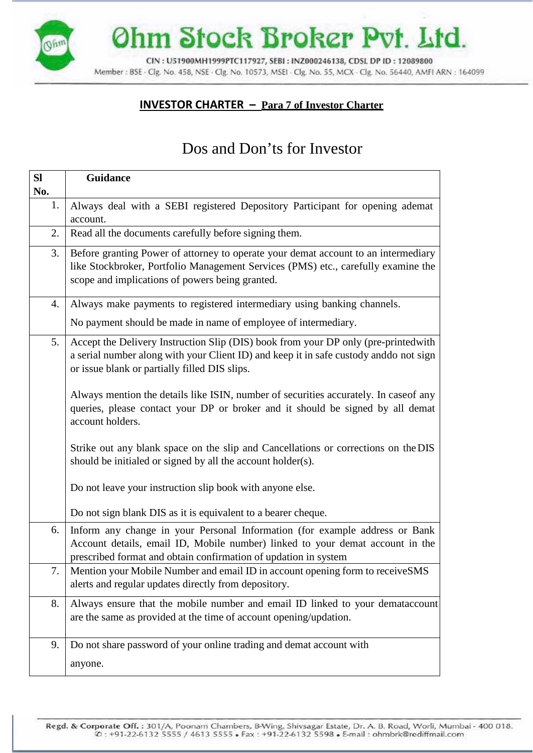Ohm Stock Broker Pvt. Ltd.

CIN: U51900MH1999PTC117927, SEBI: INZ000246138, CDSL DP ID: 12089800 Member: BSE - Clg. No. 458, NSE - Clg. No. 10573, MSEI - Clg. No. 55, MCX - Clg. No. 56440, AMFI ARN: 164099

## **INVESTOR CHARTER – Para 7 of Investor Charter**

## Dos and Don'ts for Investor

| SI  | Guidance                                                                                                                                                                                                                        |
|-----|---------------------------------------------------------------------------------------------------------------------------------------------------------------------------------------------------------------------------------|
| No. |                                                                                                                                                                                                                                 |
| 1.  | Always deal with a SEBI registered Depository Participant for opening ademat<br>account.                                                                                                                                        |
| 2.  | Read all the documents carefully before signing them.                                                                                                                                                                           |
| 3.  | Before granting Power of attorney to operate your demat account to an intermediary<br>like Stockbroker, Portfolio Management Services (PMS) etc., carefully examine the<br>scope and implications of powers being granted.      |
| 4.  | Always make payments to registered intermediary using banking channels.                                                                                                                                                         |
|     | No payment should be made in name of employee of intermediary.                                                                                                                                                                  |
| 5.  | Accept the Delivery Instruction Slip (DIS) book from your DP only (pre-printed with<br>a serial number along with your Client ID) and keep it in safe custody anddo not sign<br>or issue blank or partially filled DIS slips.   |
|     | Always mention the details like ISIN, number of securities accurately. In case of any<br>queries, please contact your DP or broker and it should be signed by all demat<br>account holders.                                     |
|     | Strike out any blank space on the slip and Cancellations or corrections on the DIS<br>should be initialed or signed by all the account holder(s).                                                                               |
|     | Do not leave your instruction slip book with anyone else.                                                                                                                                                                       |
|     | Do not sign blank DIS as it is equivalent to a bearer cheque.                                                                                                                                                                   |
| 6.  | Inform any change in your Personal Information (for example address or Bank<br>Account details, email ID, Mobile number) linked to your demat account in the<br>prescribed format and obtain confirmation of updation in system |
| 7.  | Mention your Mobile Number and email ID in account opening form to receiveSMS<br>alerts and regular updates directly from depository.                                                                                           |
| 8.  | Always ensure that the mobile number and email ID linked to your demataccount<br>are the same as provided at the time of account opening/updation.                                                                              |
| 9.  | Do not share password of your online trading and demat account with                                                                                                                                                             |
|     | anyone.                                                                                                                                                                                                                         |